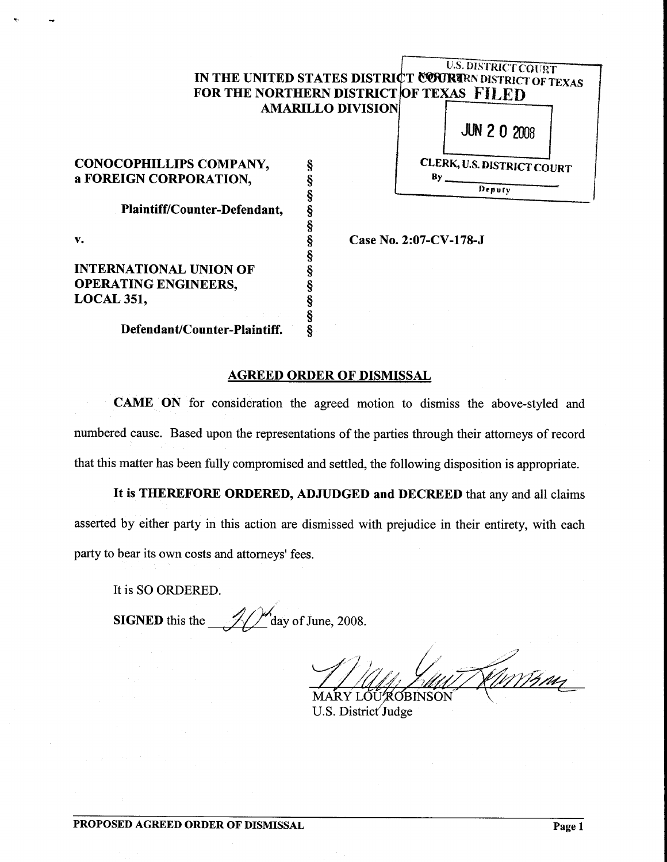# *U.S. DISTRICT COURT* IN THE UNITED STATES DISTRICT COURTEN DISTRICT OF TEXAS FOR THE NORTHERN DISTRICT OF TEXAS FILED AMARILLO DIVISION

CONOCOPHILLIPS COMPANY, a FOREIGN CORPORATION, Plaintiff/Counter-Defendant, v. INTERNATIONAL UNION OF OPERATING ENGINEERS,

LOCAL 351,

Defendant/Counter-Plaintiff.

Case No. 2:07-CV-178-J

JUN 2 0 2008

CLERK, V.s. DISTRICT COURT  $By \_\_$ Deputy

## AGREED ORDER OF DISMISSAL

§ § § § § § § § § § § §

CAME ON for consideration the agreed motion to dismiss the above-styled and numbered cause. Based upon the representations of the parties through their attorneys of record that this matter has been fully compromised and settled, the following disposition is appropriate.

It is THEREFORE ORDERED, ADJUDGED and DECREED that any and all claims asserted by either party in this action are dismissed with prejudice in their entirety, with each party to bear its own costs and attorneys' fees.

It is SO ORDERED.

**SIGNED** this the  $\frac{1}{2}$   $\frac{1}{2}$  day of June, 2008.

<u>Eurrin </u> MARY LOUTOBINSON

U.S. District Judge